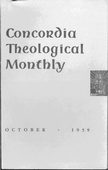## Concordia Theological Monthly



CTOBER  $959$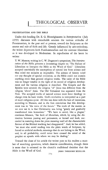## PROTESTANTISM AND THE BIBLE

Under this heading Dr. E. G. Homrighausen in *Interpretation* (July 1959) discusses with remarkable acumen the various attitudes of Protestantism, in the past and at present, toward the Scriptures as the source and rule of faith and life. Greatly influenced by neo-orthodoxy, the writer deprecates both Fundamentalism and the extreme liberalism as it was developed in Modernism. In repudiation of the latter he writes:

T. W. Manson, writing in C. W. Dugmore's symposium, *The Interpretation of the Bible,* presents a devastating chapter on "The Failure of Liberalism to Interpret the Bible as the Word of God." Liberalism accepted uncritically the assumptions of natural law from science and thus ruled out miracles as impossible. The science of history ruled out any thought of special revelation; so the Bible could not contain anything more than general religious truths. The unity of the Bible was no longer tenable in the light of its record of religious development and the various religions it described. The Gospels and the Epistles were severed; the religion "of" Jesus was different from the religion "about" Jesus. The Old Testament was separated from the New. The accepted truths of natural science must force theology to change even its basic truths. God's revelation is interpreted as a part of man's religious quest. All this was done with the best of intentions, according to Manson, and in the firm conviction that this development was in "the wave of the future." The truth of the matter, as we now see it, is that Christianity was being "gently and gradually transformed into humanism." "We have to avoid, like a plague," continues Manson, "the fault of liberalism, which, by using the distinction between passing and permanent, or kernel and husk, succeeded in watering down the plain meaning until all the characteristic flavour of the Biblical teaching had disappeared." And, he has added, "we must also avoid reading into the plain words of Scripture, by forced or artificial methods, meanings that do not belong to the Word, and, in all probability, could never have crossed the mind of the prophet or apostle with whom we may be dealing."

Toward the close of his article the writer puts to his readers a number of searching questions, which deserve consideration, though there is none that is oriented to the church's traditional doctrine that the Bible is the Word of God. JOHN THEODORE MUELLER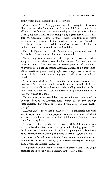## BRIEF ITEMS FROM RELIGIOUS NEWS SERVICE

*Rock Island, Ill.* - A suggestion that the Evangelical Covenant Church of America "return to the Lutheran fold" was made in an editorial in the *Lutheran Companion,* weekly of the Augustana Lutheran Church, published here. It was prompted by a statement of Dr. Theodore W. Anderson, retiring Covenant Church president, at its recent convention in Rockford, IlL He called on the Covenant Church to "seek better contact and possibly an ultimate merger with churches similar to our own in convictions and activities."

Dr. E. E. Ryden, editor of the *Lutheran Companion,* took note of Dr. Anderson's recommendation and commented:

"It has long been our conviction that steps should have been taken many years ago to effect a reconciliation between Augustana and the Covenant Church. The Covenant movement grew out of the Church of Sweden, as did the Augustana lutheran Church, and a large number of Covenant pastors and people have always been avowed Lutherans. In fact, some Covenant congregations call themselves Lutheran churches.

"The schism which resulted from the unfortunate doctrinal controversy of the last century could probably have been avoided had there been a bit more Christian love and understanding exercised on both sides. Perhaps there was a greater measure of agreement than either side was willing to admit.

"In any event, what would be more natural than a return of the Covenant folks to the lutheran fold? Where else do they belong? Most certainly they would be welcomed with great joy and thanksgiving."

*St. Louis, Mo.* - More than 875,000 feet of 35 millimeter film were used to copy some 11 million pages of handwritten manuscript at the Vatican library for deposit in the Pius XII Memorial library at Saint Louis University here.

This was disclosed by the Rev. Lowrie J. Daly, S. J., an instructor at the university who directed the great microfilming project. The Jesuit said that 15 technicians of the Vatican photographic laboratory, using American-made cameras and films, recorded 30,400 codexes.

A codex is a bound book of handwritten material containing as few as one or two works or as many as 20 separate treatises in Latin, German, Greek, and modern languages.

The problem of selection was complicated because there is no single complete index to the Vatican Library, Father Daly added.